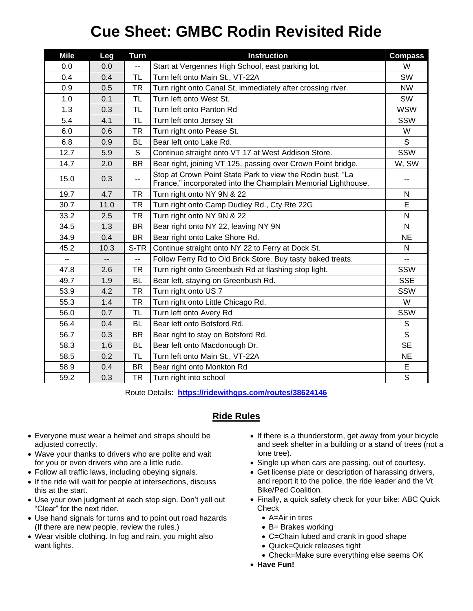## **Cue Sheet: GMBC Rodin Revisited Ride**

| <b>Mile</b> | Leg  | <b>Turn</b> | <b>Instruction</b>                                                                                                          | <b>Compass</b> |
|-------------|------|-------------|-----------------------------------------------------------------------------------------------------------------------------|----------------|
| 0.0         | 0.0  | Ξ.          | Start at Vergennes High School, east parking lot.                                                                           | W              |
| 0.4         | 0.4  | <b>TL</b>   | Turn left onto Main St., VT-22A                                                                                             | <b>SW</b>      |
| 0.9         | 0.5  | <b>TR</b>   | Turn right onto Canal St, immediately after crossing river.                                                                 | <b>NW</b>      |
| 1.0         | 0.1  | TL          | Turn left onto West St.                                                                                                     | SW             |
| 1.3         | 0.3  | <b>TL</b>   | Turn left onto Panton Rd                                                                                                    | <b>WSW</b>     |
| 5.4         | 4.1  | TL          | Turn left onto Jersey St                                                                                                    | SSW            |
| 6.0         | 0.6  | <b>TR</b>   | Turn right onto Pease St.                                                                                                   | W              |
| 6.8         | 0.9  | <b>BL</b>   | Bear left onto Lake Rd.                                                                                                     | S              |
| 12.7        | 5.9  | S           | Continue straight onto VT 17 at West Addison Store.                                                                         | SSW            |
| 14.7        | 2.0  | <b>BR</b>   | Bear right, joining VT 125, passing over Crown Point bridge.                                                                | W, SW          |
| 15.0        | 0.3  | ۰.          | Stop at Crown Point State Park to view the Rodin bust, "La<br>France," incorporated into the Champlain Memorial Lighthouse. | --             |
| 19.7        | 4.7  | <b>TR</b>   | Turn right onto NY 9N & 22                                                                                                  | N              |
| 30.7        | 11.0 | <b>TR</b>   | Turn right onto Camp Dudley Rd., Cty Rte 22G                                                                                | Е              |
| 33.2        | 2.5  | <b>TR</b>   | Turn right onto NY 9N & 22                                                                                                  | N              |
| 34.5        | 1.3  | <b>BR</b>   | Bear right onto NY 22, leaving NY 9N                                                                                        | N              |
| 34.9        | 0.4  | <b>BR</b>   | Bear right onto Lake Shore Rd.                                                                                              | <b>NE</b>      |
| 45.2        | 10.3 | S-TR        | Continue straight onto NY 22 to Ferry at Dock St.                                                                           | N              |
| --          | $-$  | --          | Follow Ferry Rd to Old Brick Store. Buy tasty baked treats.                                                                 | $\overline{a}$ |
| 47.8        | 2.6  | <b>TR</b>   | Turn right onto Greenbush Rd at flashing stop light.                                                                        | SSW            |
| 49.7        | 1.9  | <b>BL</b>   | Bear left, staying on Greenbush Rd.                                                                                         | <b>SSE</b>     |
| 53.9        | 4.2  | <b>TR</b>   | Turn right onto US 7                                                                                                        | <b>SSW</b>     |
| 55.3        | 1.4  | <b>TR</b>   | Turn right onto Little Chicago Rd.                                                                                          | W              |
| 56.0        | 0.7  | <b>TL</b>   | Turn left onto Avery Rd                                                                                                     | SSW            |
| 56.4        | 0.4  | <b>BL</b>   | Bear left onto Botsford Rd.                                                                                                 | S              |
| 56.7        | 0.3  | <b>BR</b>   | Bear right to stay on Botsford Rd.                                                                                          | S              |
| 58.3        | 1.6  | <b>BL</b>   | Bear left onto Macdonough Dr.                                                                                               | <b>SE</b>      |
| 58.5        | 0.2  | TL          | Turn left onto Main St., VT-22A                                                                                             | <b>NE</b>      |
| 58.9        | 0.4  | <b>BR</b>   | Bear right onto Monkton Rd                                                                                                  | Е              |
| 59.2        | 0.3  | TR          | Turn right into school                                                                                                      | $\mathsf S$    |

Route Details: **<https://ridewithgps.com/routes/38624146>**

## **Ride Rules**

- Everyone must wear a helmet and straps should be adjusted correctly.
- Wave your thanks to drivers who are polite and wait for you or even drivers who are a little rude.
- Follow all traffic laws, including obeying signals.
- If the ride will wait for people at intersections, discuss this at the start.
- Use your own judgment at each stop sign. Don't yell out "Clear" for the next rider.
- Use hand signals for turns and to point out road hazards (If there are new people, review the rules.)
- Wear visible clothing. In fog and rain, you might also want lights.
- If there is a thunderstorm, get away from your bicycle and seek shelter in a building or a stand of trees (not a lone tree).
- Single up when cars are passing, out of courtesy.
- Get license plate or description of harassing drivers, and report it to the police, the ride leader and the Vt Bike/Ped Coalition.
- Finally, a quick safety check for your bike: ABC Quick **Check** 
	- A=Air in tires
	- B= Brakes working
	- C=Chain lubed and crank in good shape
	- Quick=Quick releases tight
	- Check=Make sure everything else seems OK
- **Have Fun!**